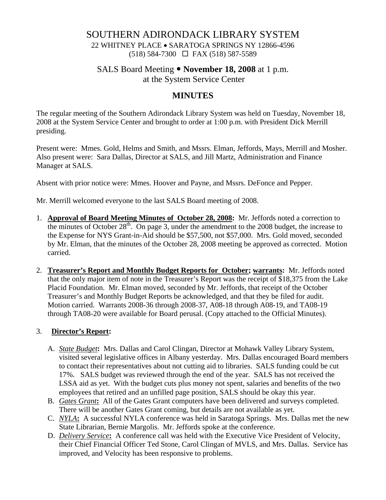## SOUTHERN ADIRONDACK LIBRARY SYSTEM

22 WHITNEY PLACE • SARATOGA SPRINGS NY 12866-4596 (518) 584-7300 FAX (518) 587-5589

## SALS Board Meeting y **November 18, 2008** at 1 p.m.

at the System Service Center

# **MINUTES**

The regular meeting of the Southern Adirondack Library System was held on Tuesday, November 18, 2008 at the System Service Center and brought to order at 1:00 p.m. with President Dick Merrill presiding.

Present were: Mmes. Gold, Helms and Smith, and Mssrs. Elman, Jeffords, Mays, Merrill and Mosher. Also present were: Sara Dallas, Director at SALS, and Jill Martz, Administration and Finance Manager at SALS.

Absent with prior notice were: Mmes. Hoover and Payne, and Mssrs. DeFonce and Pepper.

Mr. Merrill welcomed everyone to the last SALS Board meeting of 2008.

- 1. **Approval of Board Meeting Minutes of October 28, 2008:** Mr. Jeffords noted a correction to the minutes of October  $28<sup>th</sup>$ . On page 3, under the amendment to the 2008 budget, the increase to the Expense for NYS Grant-in-Aid should be \$57,500, not \$57,000. Mrs. Gold moved, seconded by Mr. Elman, that the minutes of the October 28, 2008 meeting be approved as corrected. Motion carried.
- 2. **Treasurer's Report and Monthly Budget Reports for October; warrants:** Mr. Jeffords noted that the only major item of note in the Treasurer's Report was the receipt of \$18,375 from the Lake Placid Foundation. Mr. Elman moved, seconded by Mr. Jeffords, that receipt of the October Treasurer's and Monthly Budget Reports be acknowledged, and that they be filed for audit. Motion carried. Warrants 2008-36 through 2008-37, A08-18 through A08-19, and TA08-19 through TA08-20 were available for Board perusal. (Copy attached to the Official Minutes).

### 3. **Director's Report:**

- A. *State Budget***:** Mrs. Dallas and Carol Clingan, Director at Mohawk Valley Library System, visited several legislative offices in Albany yesterday. Mrs. Dallas encouraged Board members to contact their representatives about not cutting aid to libraries. SALS funding could be cut 17%. SALS budget was reviewed through the end of the year. SALS has not received the LSSA aid as yet. With the budget cuts plus money not spent, salaries and benefits of the two employees that retired and an unfilled page position, SALS should be okay this year.
- B. *Gates Grant***:** All of the Gates Grant computers have been delivered and surveys completed. There will be another Gates Grant coming, but details are not available as yet.
- C. *NYLA***:** A successful NYLA conference was held in Saratoga Springs. Mrs. Dallas met the new State Librarian, Bernie Margolis. Mr. Jeffords spoke at the conference.
- D. *Delivery Service***:** A conference call was held with the Executive Vice President of Velocity, their Chief Financial Officer Ted Stone, Carol Clingan of MVLS, and Mrs. Dallas. Service has improved, and Velocity has been responsive to problems.